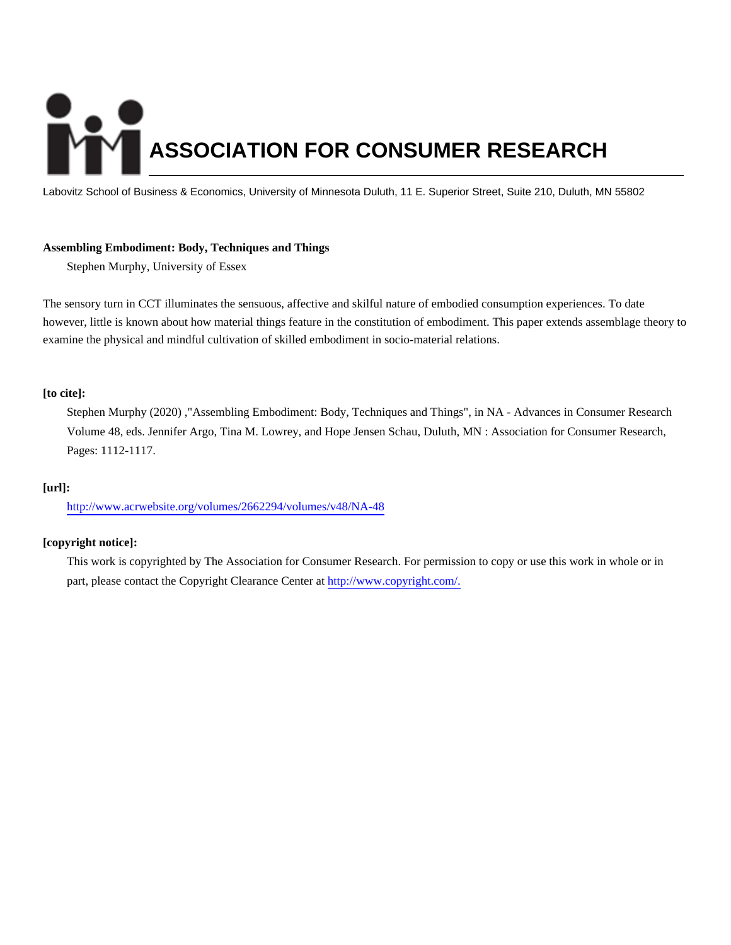# **ASSOCIATION FOR CONSUMER RESEARCH**

Labovitz School of Business & Economics, University of Minnesota Duluth, 11 E. Superior Street, Suite 210, Duluth, MN 55802

# **Assembling Embodiment: Body, Techniques and Things**

Stephen Murphy, University of Essex

The sensory turn in CCT illuminates the sensuous, affective and skilful nature of embodied consumption experiences. To date however, little is known about how material things feature in the constitution of embodiment. This paper extends assemblage theory to examine the physical and mindful cultivation of skilled embodiment in socio-material relations.

# **[to cite]:**

Stephen Murphy (2020) ,"Assembling Embodiment: Body, Techniques and Things", in NA - Advances in Consumer Research Volume 48, eds. Jennifer Argo, Tina M. Lowrey, and Hope Jensen Schau, Duluth, MN : Association for Consumer Research, Pages: 1112-1117.

# **[url]:**

<http://www.acrwebsite.org/volumes/2662294/volumes/v48/NA-48>

# **[copyright notice]:**

This work is copyrighted by The Association for Consumer Research. For permission to copy or use this work in whole or in part, please contact the Copyright Clearance Center at [http://www.copyright.com/.](http://www.copyright.com/)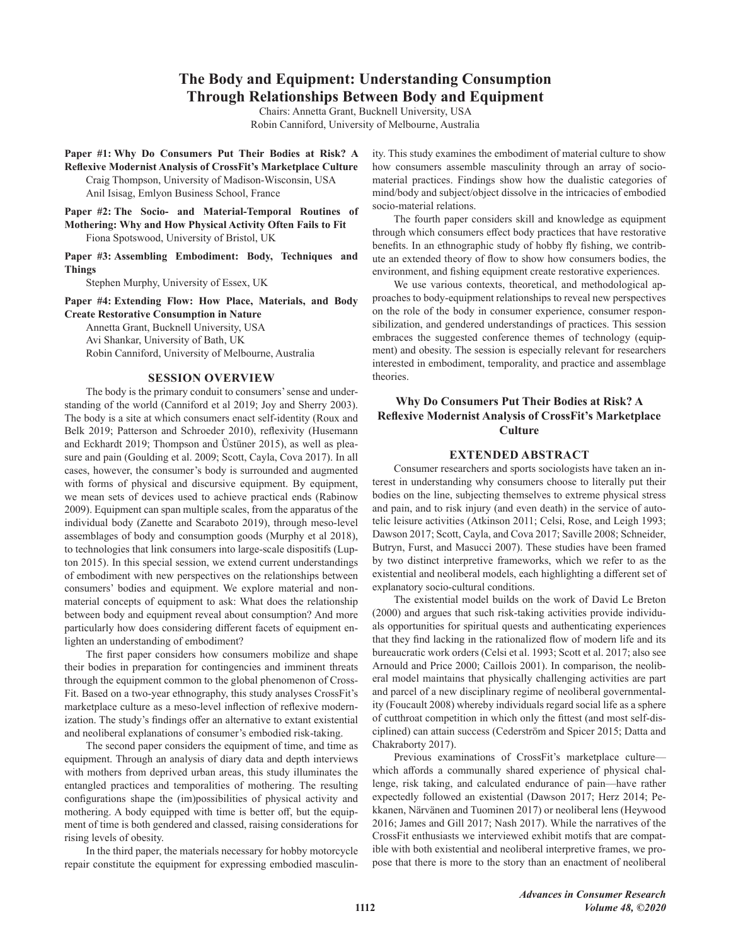# The Body and Equipment: Understanding Consumption **Through Relationships Between Body and Equipment**

Chairs: Annetta Grant, Bucknell University, USA

Robin Canniford, University of Melbourne, Australia

Paper #1: Why Do Consumers Put Their Bodies at Risk? A **Reflexive Modernist Analysis of CrossFit's Marketplace Culture** Craig Thompson, University of Madison-Wisconsin, USA Anil Isisag, Emlyon Business School, France

Paper #2: The Socio- and Material-Temporal Routines of Mothering: Why and How Physical Activity Often Fails to Fit Fiona Spotswood, University of Bristol, UK

Paper #3: Assembling Embodiment: Body, Techniques and **Things** 

Stephen Murphy, University of Essex, UK

Paper #4: Extending Flow: How Place, Materials, and Body **Create Restorative Consumption in Nature** 

Annetta Grant, Bucknell University, USA Avi Shankar, University of Bath, UK Robin Canniford, University of Melbourne, Australia

### **SESSION OVERVIEW**

The body is the primary conduit to consumers' sense and understanding of the world (Canniford et al 2019; Joy and Sherry 2003). The body is a site at which consumers enact self-identity (Roux and Belk 2019; Patterson and Schroeder 2010), reflexivity (Husemann and Eckhardt 2019; Thompson and Üstüner 2015), as well as pleasure and pain (Goulding et al. 2009; Scott, Cayla, Cova 2017). In all cases, however, the consumer's body is surrounded and augmented with forms of physical and discursive equipment. By equipment, we mean sets of devices used to achieve practical ends (Rabinow 2009). Equipment can span multiple scales, from the apparatus of the individual body (Zanette and Scaraboto 2019), through meso-level assemblages of body and consumption goods (Murphy et al 2018), to technologies that link consumers into large-scale dispositifs (Lupton 2015). In this special session, we extend current understandings of embodiment with new perspectives on the relationships between consumers' bodies and equipment. We explore material and nonmaterial concepts of equipment to ask: What does the relationship between body and equipment reveal about consumption? And more particularly how does considering different facets of equipment enlighten an understanding of embodiment?

The first paper considers how consumers mobilize and shape their bodies in preparation for contingencies and imminent threats through the equipment common to the global phenomenon of Cross-Fit. Based on a two-year ethnography, this study analyses CrossFit's marketplace culture as a meso-level inflection of reflexive modernization. The study's findings offer an alternative to extant existential and neoliberal explanations of consumer's embodied risk-taking.

The second paper considers the equipment of time, and time as equipment. Through an analysis of diary data and depth interviews with mothers from deprived urban areas, this study illuminates the entangled practices and temporalities of mothering. The resulting configurations shape the (im)possibilities of physical activity and mothering. A body equipped with time is better off, but the equipment of time is both gendered and classed, raising considerations for rising levels of obesity.

In the third paper, the materials necessary for hobby motorcycle repair constitute the equipment for expressing embodied masculin-

ity. This study examines the embodiment of material culture to show how consumers assemble masculinity through an array of sociomaterial practices. Findings show how the dualistic categories of mind/body and subject/object dissolve in the intricacies of embodied socio-material relations.

The fourth paper considers skill and knowledge as equipment through which consumers effect body practices that have restorative benefits. In an ethnographic study of hobby fly fishing, we contribute an extended theory of flow to show how consumers bodies, the environment, and fishing equipment create restorative experiences.

We use various contexts, theoretical, and methodological approaches to body-equipment relationships to reveal new perspectives on the role of the body in consumer experience, consumer responsibilization, and gendered understandings of practices. This session embraces the suggested conference themes of technology (equipment) and obesity. The session is especially relevant for researchers interested in embodiment, temporality, and practice and assemblage theories.

# Why Do Consumers Put Their Bodies at Risk? A **Reflexive Modernist Analysis of CrossFit's Marketplace Culture**

### **EXTENDED ABSTRACT**

Consumer researchers and sports sociologists have taken an interest in understanding why consumers choose to literally put their bodies on the line, subjecting themselves to extreme physical stress and pain, and to risk injury (and even death) in the service of autotelic leisure activities (Atkinson 2011; Celsi, Rose, and Leigh 1993; Dawson 2017; Scott, Cayla, and Cova 2017; Saville 2008; Schneider, Butryn, Furst, and Masucci 2007). These studies have been framed by two distinct interpretive frameworks, which we refer to as the existential and neoliberal models, each highlighting a different set of explanatory socio-cultural conditions.

The existential model builds on the work of David Le Breton (2000) and argues that such risk-taking activities provide individuals opportunities for spiritual quests and authenticating experiences that they find lacking in the rationalized flow of modern life and its bureaucratic work orders (Celsi et al. 1993; Scott et al. 2017; also see Arnould and Price 2000; Caillois 2001). In comparison, the neoliberal model maintains that physically challenging activities are part and parcel of a new disciplinary regime of neoliberal governmentality (Foucault 2008) whereby individuals regard social life as a sphere of cutthroat competition in which only the fittest (and most self-disciplined) can attain success (Cederström and Spicer 2015; Datta and Chakraborty 2017).

Previous examinations of CrossFit's marketplace culturewhich affords a communally shared experience of physical challenge, risk taking, and calculated endurance of pain—have rather expectedly followed an existential (Dawson 2017; Herz 2014; Pekkanen, Närvänen and Tuominen 2017) or neoliberal lens (Heywood 2016; James and Gill 2017; Nash 2017). While the narratives of the CrossFit enthusiasts we interviewed exhibit motifs that are compatible with both existential and neoliberal interpretive frames, we propose that there is more to the story than an enactment of neoliberal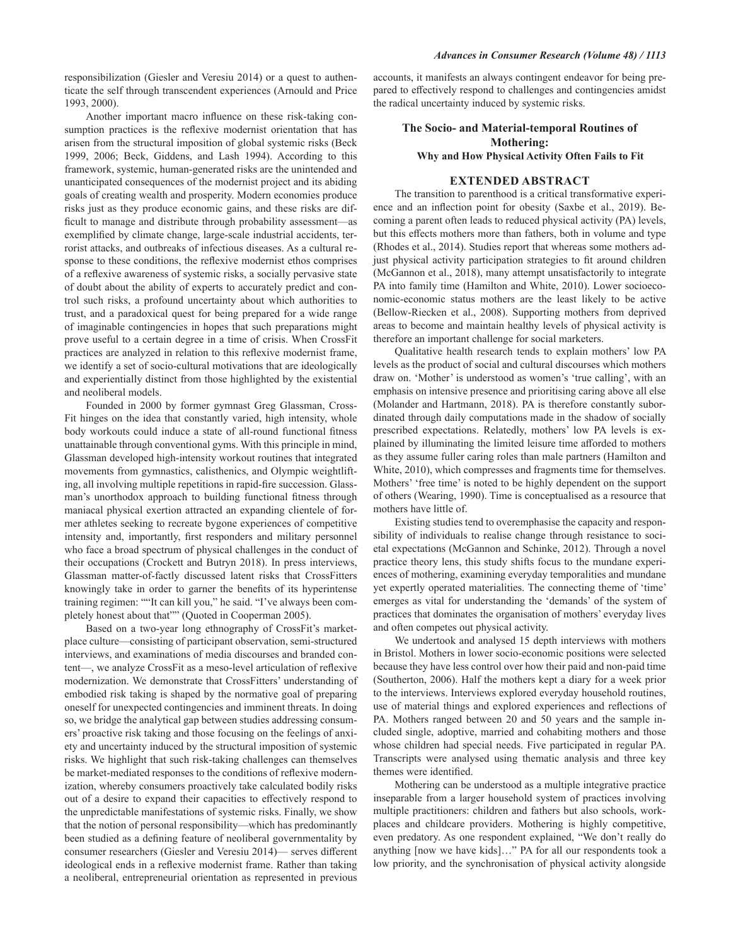responsibilization (Giesler and Veresiu 2014) or a quest to authenticate the self through transcendent experiences (Arnould and Price 1993, 2000).

Another important macro influence on these risk-taking consumption practices is the reflexive modernist orientation that has arisen from the structural imposition of global systemic risks (Beck 1999, 2006; Beck, Giddens, and Lash 1994). According to this framework, systemic, human-generated risks are the unintended and unanticipated consequences of the modernist project and its abiding goals of creating wealth and prosperity. Modern economies produce risks just as they produce economic gains, and these risks are difficult to manage and distribute through probability assessment-as exemplified by climate change, large-scale industrial accidents, terrorist attacks, and outbreaks of infectious diseases. As a cultural response to these conditions, the reflexive modernist ethos comprises of a reflexive awareness of systemic risks, a socially pervasive state of doubt about the ability of experts to accurately predict and control such risks, a profound uncertainty about which authorities to trust, and a paradoxical quest for being prepared for a wide range of imaginable contingencies in hopes that such preparations might prove useful to a certain degree in a time of crisis. When CrossFit practices are analyzed in relation to this reflexive modernist frame, we identify a set of socio-cultural motivations that are ideologically and experientially distinct from those highlighted by the existential and neoliberal models.

Founded in 2000 by former gymnast Greg Glassman, Cross-Fit hinges on the idea that constantly varied, high intensity, whole body workouts could induce a state of all-round functional fitness unattainable through conventional gyms. With this principle in mind, Glassman developed high-intensity workout routines that integrated movements from gymnastics, calisthenics, and Olympic weightlifting, all involving multiple repetitions in rapid-fire succession. Glassman's unorthodox approach to building functional fitness through maniacal physical exertion attracted an expanding clientele of former athletes seeking to recreate bygone experiences of competitive intensity and, importantly, first responders and military personnel who face a broad spectrum of physical challenges in the conduct of their occupations (Crockett and Butryn 2018). In press interviews, Glassman matter-of-factly discussed latent risks that CrossFitters knowingly take in order to garner the benefits of its hyperintense training regimen: ""It can kill you," he said. "I've always been completely honest about that"" (Quoted in Cooperman 2005).

Based on a two-year long ethnography of CrossFit's marketplace culture—consisting of participant observation, semi-structured interviews, and examinations of media discourses and branded content—, we analyze CrossFit as a meso-level articulation of reflexive modernization. We demonstrate that CrossFitters' understanding of embodied risk taking is shaped by the normative goal of preparing oneself for unexpected contingencies and imminent threats. In doing so, we bridge the analytical gap between studies addressing consumers' proactive risk taking and those focusing on the feelings of anxiety and uncertainty induced by the structural imposition of systemic risks. We highlight that such risk-taking challenges can themselves be market-mediated responses to the conditions of reflexive modernization, whereby consumers proactively take calculated bodily risks out of a desire to expand their capacities to effectively respond to the unpredictable manifestations of systemic risks. Finally, we show that the notion of personal responsibility—which has predominantly been studied as a defining feature of neoliberal governmentality by consumer researchers (Giesler and Veresiu 2014) - serves different ideological ends in a reflexive modernist frame. Rather than taking a neoliberal, entrepreneurial orientation as represented in previous

accounts, it manifests an always contingent endeavor for being prepared to effectively respond to challenges and contingencies amidst the radical uncertainty induced by systemic risks.

# The Socio- and Material-temporal Routines of **Mothering:** Why and How Physical Activity Often Fails to Fit

### **EXTENDED ABSTRACT**

The transition to parenthood is a critical transformative experience and an inflection point for obesity (Saxbe et al., 2019). Becoming a parent often leads to reduced physical activity (PA) levels, but this effects mothers more than fathers, both in volume and type (Rhodes et al., 2014). Studies report that whereas some mothers adjust physical activity participation strategies to fit around children (McGannon et al., 2018), many attempt unsatisfactorily to integrate PA into family time (Hamilton and White, 2010). Lower socioeconomic-economic status mothers are the least likely to be active (Bellow-Riecken et al., 2008). Supporting mothers from deprived areas to become and maintain healthy levels of physical activity is therefore an important challenge for social marketers.

Qualitative health research tends to explain mothers' low PA levels as the product of social and cultural discourses which mothers draw on. 'Mother' is understood as women's 'true calling', with an emphasis on intensive presence and prioritising caring above all else (Molander and Hartmann, 2018). PA is therefore constantly subordinated through daily computations made in the shadow of socially prescribed expectations. Relatedly, mothers' low PA levels is explained by illuminating the limited leisure time afforded to mothers as they assume fuller caring roles than male partners (Hamilton and White, 2010), which compresses and fragments time for themselves. Mothers' 'free time' is noted to be highly dependent on the support of others (Wearing, 1990). Time is conceptualised as a resource that mothers have little of.

Existing studies tend to overemphasise the capacity and responsibility of individuals to realise change through resistance to societal expectations (McGannon and Schinke, 2012). Through a novel practice theory lens, this study shifts focus to the mundane experiences of mothering, examining everyday temporalities and mundane yet expertly operated materialities. The connecting theme of 'time' emerges as vital for understanding the 'demands' of the system of practices that dominates the organisation of mothers' everyday lives and often competes out physical activity.

We undertook and analysed 15 depth interviews with mothers in Bristol. Mothers in lower socio-economic positions were selected because they have less control over how their paid and non-paid time (Southerton, 2006). Half the mothers kept a diary for a week prior to the interviews. Interviews explored everyday household routines, use of material things and explored experiences and reflections of PA. Mothers ranged between 20 and 50 years and the sample included single, adoptive, married and cohabiting mothers and those whose children had special needs. Five participated in regular PA. Transcripts were analysed using thematic analysis and three key themes were identified.

Mothering can be understood as a multiple integrative practice inseparable from a larger household system of practices involving multiple practitioners: children and fathers but also schools, workplaces and childcare providers. Mothering is highly competitive, even predatory. As one respondent explained, "We don't really do anything [now we have kids]..." PA for all our respondents took a low priority, and the synchronisation of physical activity alongside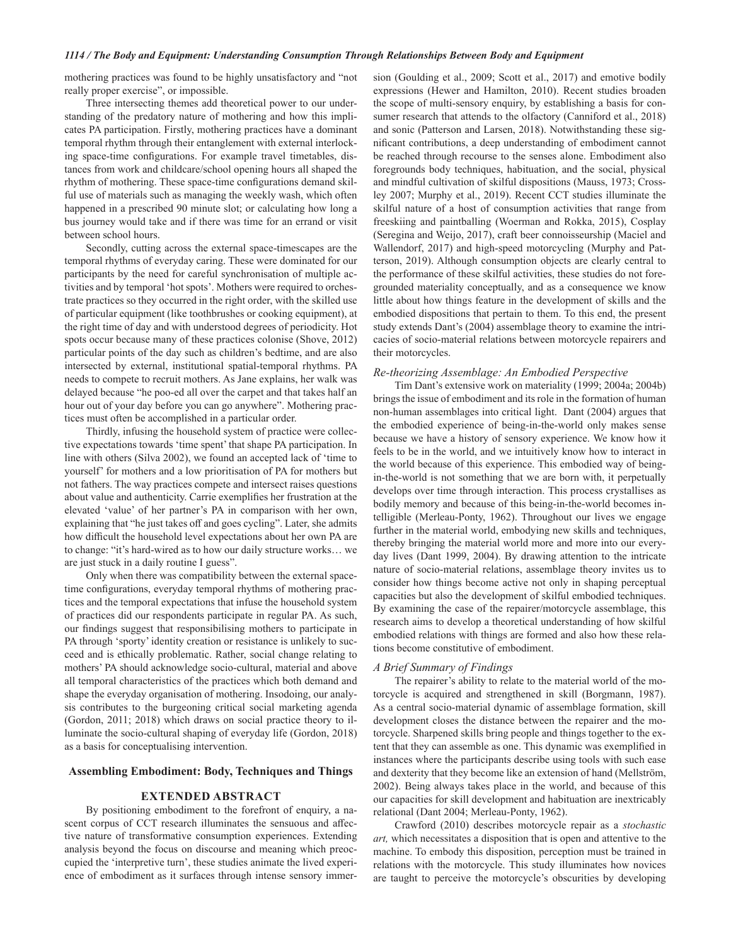mothering practices was found to be highly unsatisfactory and "not really proper exercise", or impossible.

Three intersecting themes add theoretical power to our understanding of the predatory nature of mothering and how this implicates PA participation. Firstly, mothering practices have a dominant temporal rhythm through their entanglement with external interlocking space-time configurations. For example travel timetables, distances from work and childcare/school opening hours all shaped the rhythm of mothering. These space-time configurations demand skilful use of materials such as managing the weekly wash, which often happened in a prescribed 90 minute slot; or calculating how long a bus journey would take and if there was time for an errand or visit between school hours.

Secondly, cutting across the external space-timescapes are the temporal rhythms of everyday caring. These were dominated for our participants by the need for careful synchronisation of multiple activities and by temporal 'hot spots'. Mothers were required to orchestrate practices so they occurred in the right order, with the skilled use of particular equipment (like toothbrushes or cooking equipment), at the right time of day and with understood degrees of periodicity. Hot spots occur because many of these practices colonise (Shove, 2012) particular points of the day such as children's bedtime, and are also intersected by external, institutional spatial-temporal rhythms. PA needs to compete to recruit mothers. As Jane explains, her walk was delayed because "he poo-ed all over the carpet and that takes half an hour out of your day before you can go anywhere". Mothering practices must often be accomplished in a particular order.

Thirdly, infusing the household system of practice were collective expectations towards 'time spent' that shape PA participation. In line with others (Silva 2002), we found an accepted lack of 'time to yourself' for mothers and a low prioritisation of PA for mothers but not fathers. The way practices compete and intersect raises questions about value and authenticity. Carrie exemplifies her frustration at the elevated 'value' of her partner's PA in comparison with her own, explaining that "he just takes off and goes cycling". Later, she admits how difficult the household level expectations about her own PA are to change: "it's hard-wired as to how our daily structure works... we are just stuck in a daily routine I guess".

Only when there was compatibility between the external spacetime configurations, everyday temporal rhythms of mothering practices and the temporal expectations that infuse the household system of practices did our respondents participate in regular PA. As such, our findings suggest that responsibilising mothers to participate in PA through 'sporty' identity creation or resistance is unlikely to succeed and is ethically problematic. Rather, social change relating to mothers' PA should acknowledge socio-cultural, material and above all temporal characteristics of the practices which both demand and shape the everyday organisation of mothering. Insodoing, our analysis contributes to the burgeoning critical social marketing agenda (Gordon, 2011; 2018) which draws on social practice theory to illuminate the socio-cultural shaping of everyday life (Gordon, 2018) as a basis for conceptualising intervention.

### **Assembling Embodiment: Body, Techniques and Things**

### **EXTENDED ABSTRACT**

By positioning embodiment to the forefront of enquiry, a nascent corpus of CCT research illuminates the sensuous and affective nature of transformative consumption experiences. Extending analysis beyond the focus on discourse and meaning which preoccupied the 'interpretive turn', these studies animate the lived experience of embodiment as it surfaces through intense sensory immersion (Goulding et al., 2009; Scott et al., 2017) and emotive bodily expressions (Hewer and Hamilton, 2010). Recent studies broaden the scope of multi-sensory enquiry, by establishing a basis for consumer research that attends to the olfactory (Canniford et al., 2018) and sonic (Patterson and Larsen, 2018). Notwithstanding these significant contributions, a deep understanding of embodiment cannot be reached through recourse to the senses alone. Embodiment also foregrounds body techniques, habituation, and the social, physical and mindful cultivation of skilful dispositions (Mauss, 1973; Crossley 2007; Murphy et al., 2019). Recent CCT studies illuminate the skilful nature of a host of consumption activities that range from freeskiing and paintballing (Woerman and Rokka, 2015), Cosplay (Seregina and Weijo, 2017), craft beer connoisseurship (Maciel and Wallendorf, 2017) and high-speed motorcycling (Murphy and Patterson, 2019). Although consumption objects are clearly central to the performance of these skilful activities, these studies do not foregrounded materiality conceptually, and as a consequence we know little about how things feature in the development of skills and the embodied dispositions that pertain to them. To this end, the present study extends Dant's (2004) assemblage theory to examine the intricacies of socio-material relations between motorcycle repairers and their motorcycles.

### Re-theorizing Assemblage: An Embodied Perspective

Tim Dant's extensive work on materiality (1999; 2004a; 2004b) brings the issue of embodiment and its role in the formation of human non-human assemblages into critical light. Dant (2004) argues that the embodied experience of being-in-the-world only makes sense because we have a history of sensory experience. We know how it feels to be in the world, and we intuitively know how to interact in the world because of this experience. This embodied way of beingin-the-world is not something that we are born with, it perpetually develops over time through interaction. This process crystallises as bodily memory and because of this being-in-the-world becomes intelligible (Merleau-Ponty, 1962). Throughout our lives we engage further in the material world, embodying new skills and techniques, thereby bringing the material world more and more into our everyday lives (Dant 1999, 2004). By drawing attention to the intricate nature of socio-material relations, assemblage theory invites us to consider how things become active not only in shaping perceptual capacities but also the development of skilful embodied techniques. By examining the case of the repairer/motorcycle assemblage, this research aims to develop a theoretical understanding of how skilful embodied relations with things are formed and also how these relations become constitutive of embodiment.

### A Brief Summary of Findings

The repairer's ability to relate to the material world of the motorcycle is acquired and strengthened in skill (Borgmann, 1987). As a central socio-material dynamic of assemblage formation, skill development closes the distance between the repairer and the motorcycle. Sharpened skills bring people and things together to the extent that they can assemble as one. This dynamic was exemplified in instances where the participants describe using tools with such ease and dexterity that they become like an extension of hand (Mellström, 2002). Being always takes place in the world, and because of this our capacities for skill development and habituation are inextricably relational (Dant 2004; Merleau-Ponty, 1962).

Crawford (2010) describes motorcycle repair as a stochastic art, which necessitates a disposition that is open and attentive to the machine. To embody this disposition, perception must be trained in relations with the motorcycle. This study illuminates how novices are taught to perceive the motorcycle's obscurities by developing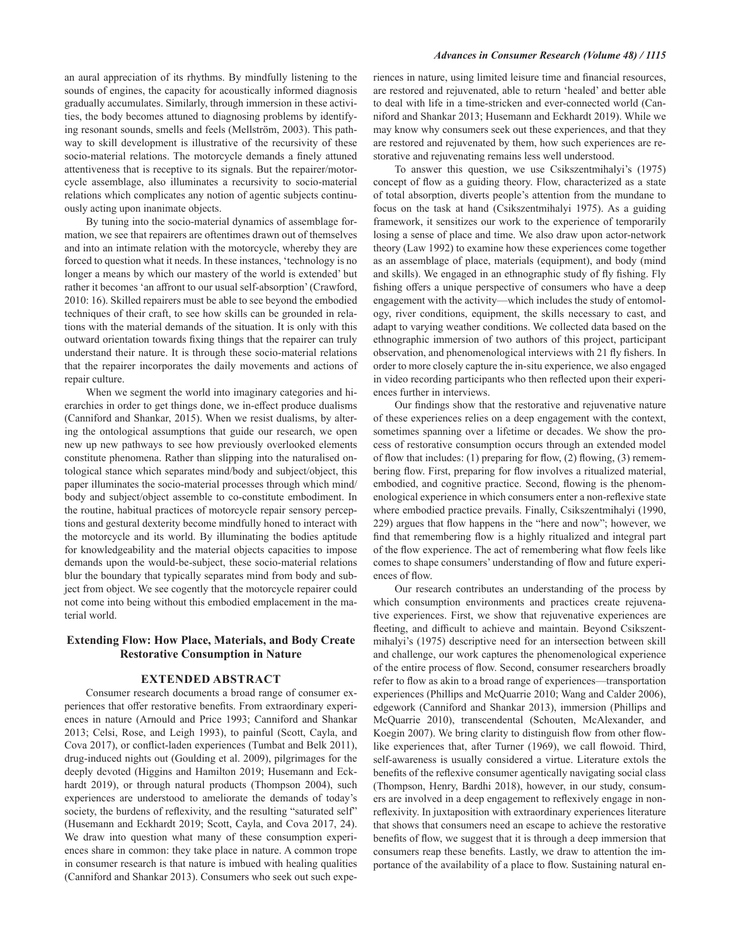an aural appreciation of its rhythms. By mindfully listening to the sounds of engines, the capacity for acoustically informed diagnosis gradually accumulates. Similarly, through immersion in these activities, the body becomes attuned to diagnosing problems by identifying resonant sounds, smells and feels (Mellström, 2003). This pathway to skill development is illustrative of the recursivity of these socio-material relations. The motorcycle demands a finely attuned attentiveness that is receptive to its signals. But the repairer/motorcycle assemblage, also illuminates a recursivity to socio-material relations which complicates any notion of agentic subjects continuously acting upon inanimate objects.

By tuning into the socio-material dynamics of assemblage formation, we see that repairers are oftentimes drawn out of themselves and into an intimate relation with the motorcycle, whereby they are forced to question what it needs. In these instances, 'technology is no longer a means by which our mastery of the world is extended' but rather it becomes 'an affront to our usual self-absorption' (Crawford, 2010: 16). Skilled repairers must be able to see beyond the embodied techniques of their craft, to see how skills can be grounded in relations with the material demands of the situation. It is only with this outward orientation towards fixing things that the repairer can truly understand their nature. It is through these socio-material relations that the repairer incorporates the daily movements and actions of repair culture.

When we segment the world into imaginary categories and hierarchies in order to get things done, we in-effect produce dualisms (Canniford and Shankar, 2015). When we resist dualisms, by altering the ontological assumptions that guide our research, we open new up new pathways to see how previously overlooked elements constitute phenomena. Rather than slipping into the naturalised ontological stance which separates mind/body and subject/object, this paper illuminates the socio-material processes through which mind/ body and subject/object assemble to co-constitute embodiment. In the routine, habitual practices of motorcycle repair sensory perceptions and gestural dexterity become mindfully honed to interact with the motorcycle and its world. By illuminating the bodies aptitude for knowledgeability and the material objects capacities to impose demands upon the would-be-subject, these socio-material relations blur the boundary that typically separates mind from body and subject from object. We see cogently that the motorcycle repairer could not come into being without this embodied emplacement in the material world.

# **Extending Flow: How Place, Materials, and Body Create Restorative Consumption in Nature**

### **EXTENDED ABSTRACT**

Consumer research documents a broad range of consumer experiences that offer restorative benefits. From extraordinary experiences in nature (Arnould and Price 1993; Canniford and Shankar 2013; Celsi, Rose, and Leigh 1993), to painful (Scott, Cayla, and Cova 2017), or conflict-laden experiences (Tumbat and Belk 2011), drug-induced nights out (Goulding et al. 2009), pilgrimages for the deeply devoted (Higgins and Hamilton 2019; Husemann and Eckhardt 2019), or through natural products (Thompson 2004), such experiences are understood to ameliorate the demands of today's society, the burdens of reflexivity, and the resulting "saturated self" (Husemann and Eckhardt 2019; Scott, Cayla, and Cova 2017, 24). We draw into question what many of these consumption experiences share in common: they take place in nature. A common trope in consumer research is that nature is imbued with healing qualities (Canniford and Shankar 2013). Consumers who seek out such experiences in nature, using limited leisure time and financial resources, are restored and rejuvenated, able to return 'healed' and better able to deal with life in a time-stricken and ever-connected world (Canniford and Shankar 2013; Husemann and Eckhardt 2019). While we may know why consumers seek out these experiences, and that they are restored and rejuvenated by them, how such experiences are restorative and rejuvenating remains less well understood.

To answer this question, we use Csikszentmihalyi's (1975) concept of flow as a guiding theory. Flow, characterized as a state of total absorption, diverts people's attention from the mundane to focus on the task at hand (Csikszentmihalyi 1975). As a guiding framework, it sensitizes our work to the experience of temporarily losing a sense of place and time. We also draw upon actor-network theory (Law 1992) to examine how these experiences come together as an assemblage of place, materials (equipment), and body (mind and skills). We engaged in an ethnographic study of fly fishing. Fly fishing offers a unique perspective of consumers who have a deep engagement with the activity-which includes the study of entomology, river conditions, equipment, the skills necessary to cast, and adapt to varying weather conditions. We collected data based on the ethnographic immersion of two authors of this project, participant observation, and phenomenological interviews with 21 fly fishers. In order to more closely capture the in-situ experience, we also engaged in video recording participants who then reflected upon their experiences further in interviews.

Our findings show that the restorative and rejuvenative nature of these experiences relies on a deep engagement with the context, sometimes spanning over a lifetime or decades. We show the process of restorative consumption occurs through an extended model of flow that includes: (1) preparing for flow, (2) flowing, (3) remembering flow. First, preparing for flow involves a ritualized material, embodied, and cognitive practice. Second, flowing is the phenomenological experience in which consumers enter a non-reflexive state where embodied practice prevails. Finally, Csikszentmihalyi (1990, 229) argues that flow happens in the "here and now"; however, we find that remembering flow is a highly ritualized and integral part of the flow experience. The act of remembering what flow feels like comes to shape consumers' understanding of flow and future experiences of flow.

Our research contributes an understanding of the process by which consumption environments and practices create rejuvenative experiences. First, we show that rejuvenative experiences are fleeting, and difficult to achieve and maintain. Beyond Csikszentmihalyi's (1975) descriptive need for an intersection between skill and challenge, our work captures the phenomenological experience of the entire process of flow. Second, consumer researchers broadly refer to flow as akin to a broad range of experiences—transportation experiences (Phillips and McQuarrie 2010; Wang and Calder 2006), edgework (Canniford and Shankar 2013), immersion (Phillips and McQuarrie 2010), transcendental (Schouten, McAlexander, and Koegin 2007). We bring clarity to distinguish flow from other flowlike experiences that, after Turner (1969), we call flowoid. Third, self-awareness is usually considered a virtue. Literature extols the benefits of the reflexive consumer agentically navigating social class (Thompson, Henry, Bardhi 2018), however, in our study, consumers are involved in a deep engagement to reflexively engage in nonreflexivity. In juxtaposition with extraordinary experiences literature that shows that consumers need an escape to achieve the restorative benefits of flow, we suggest that it is through a deep immersion that consumers reap these benefits. Lastly, we draw to attention the importance of the availability of a place to flow. Sustaining natural en-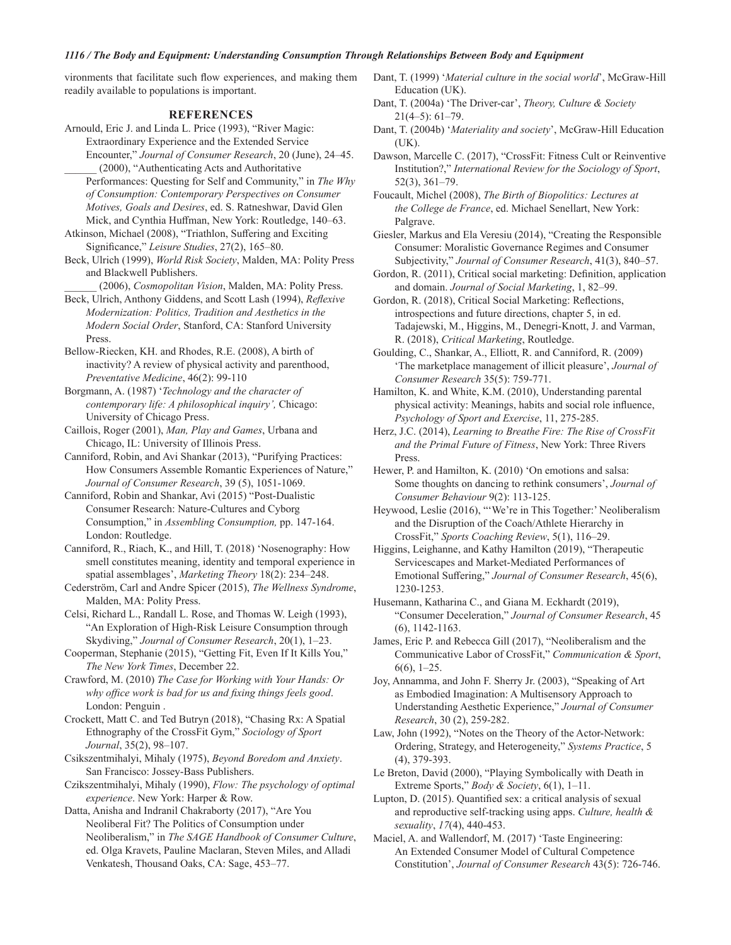## 1116 / The Body and Equipment: Understanding Consumption Through Relationships Between Body and Equipment

vironments that facilitate such flow experiences, and making them readily available to populations is important.

### **REFERENCES**

- Arnould, Eric J. and Linda L. Price (1993), "River Magic: Extraordinary Experience and the Extended Service Encounter," Journal of Consumer Research, 20 (June), 24–45.
	- (2000), "Authenticating Acts and Authoritative Performances: Questing for Self and Community," in The Why of Consumption: Contemporary Perspectives on Consumer Motives, Goals and Desires, ed. S. Ratneshwar, David Glen Mick, and Cynthia Huffman, New York: Routledge, 140–63.
- Atkinson, Michael (2008), "Triathlon, Suffering and Exciting Significance," Leisure Studies, 27(2), 165-80.
- Beck, Ulrich (1999), World Risk Society, Malden, MA: Polity Press and Blackwell Publishers.
	- (2006), Cosmopolitan Vision, Malden, MA: Polity Press.
- Beck, Ulrich, Anthony Giddens, and Scott Lash (1994), Reflexive Modernization: Politics, Tradition and Aesthetics in the Modern Social Order, Stanford, CA: Stanford University Press
- Bellow-Riecken, KH. and Rhodes, R.E. (2008), A birth of inactivity? A review of physical activity and parenthood, Preventative Medicine, 46(2): 99-110
- Borgmann, A. (1987) 'Technology and the character of contemporary life: A philosophical inquiry', Chicago: University of Chicago Press.
- Caillois, Roger (2001), Man, Play and Games, Urbana and Chicago, IL: University of Illinois Press.
- Canniford, Robin, and Avi Shankar (2013), "Purifying Practices: How Consumers Assemble Romantic Experiences of Nature," Journal of Consumer Research, 39 (5), 1051-1069.
- Canniford, Robin and Shankar, Avi (2015) "Post-Dualistic Consumer Research: Nature-Cultures and Cyborg Consumption," in *Assembling Consumption*, pp. 147-164. London: Routledge.
- Canniford, R., Riach, K., and Hill, T. (2018) 'Nosenography: How smell constitutes meaning, identity and temporal experience in spatial assemblages', Marketing Theory 18(2): 234-248.
- Cederström, Carl and Andre Spicer (2015), The Wellness Syndrome, Malden, MA: Polity Press.
- Celsi, Richard L., Randall L. Rose, and Thomas W. Leigh (1993), "An Exploration of High-Risk Leisure Consumption through Skydiving," Journal of Consumer Research, 20(1), 1-23.
- Cooperman, Stephanie (2015), "Getting Fit, Even If It Kills You," The New York Times, December 22.
- Crawford, M. (2010) The Case for Working with Your Hands: Or why office work is bad for us and fixing things feels good. London: Penguin.
- Crockett, Matt C. and Ted Butryn (2018), "Chasing Rx: A Spatial Ethnography of the CrossFit Gym," Sociology of Sport Journal, 35(2), 98-107.
- Csikszentmihalyi, Mihaly (1975), Beyond Boredom and Anxiety. San Francisco: Jossey-Bass Publishers.
- Czikszentmihalyi, Mihaly (1990), Flow: The psychology of optimal experience. New York: Harper & Row.
- Datta, Anisha and Indranil Chakraborty (2017), "Are You Neoliberal Fit? The Politics of Consumption under Neoliberalism," in The SAGE Handbook of Consumer Culture, ed. Olga Kravets, Pauline Maclaran, Steven Miles, and Alladi Venkatesh, Thousand Oaks, CA: Sage, 453-77.
- Dant, T. (1999) 'Material culture in the social world', McGraw-Hill Education (UK).
- Dant, T. (2004a) 'The Driver-car', Theory, Culture & Society  $21(4-5): 61-79.$
- Dant, T. (2004b) 'Materiality and society', McGraw-Hill Education  $(UK).$
- Dawson, Marcelle C. (2017), "CrossFit: Fitness Cult or Reinventive Institution?," International Review for the Sociology of Sport,  $52(3), 361-79.$
- Foucault, Michel (2008), The Birth of Biopolitics: Lectures at the College de France, ed. Michael Senellart, New York: Palgrave.
- Giesler, Markus and Ela Veresiu (2014), "Creating the Responsible Consumer: Moralistic Governance Regimes and Consumer Subjectivity," Journal of Consumer Research, 41(3), 840-57.
- Gordon, R. (2011), Critical social marketing: Definition, application and domain. Journal of Social Marketing, 1, 82-99.
- Gordon, R. (2018), Critical Social Marketing: Reflections, introspections and future directions, chapter 5, in ed. Tadajewski, M., Higgins, M., Denegri-Knott, J. and Varman, R. (2018), Critical Marketing, Routledge.
- Goulding, C., Shankar, A., Elliott, R. and Canniford, R. (2009) 'The marketplace management of illicit pleasure', Journal of Consumer Research 35(5): 759-771.
- Hamilton, K. and White, K.M. (2010), Understanding parental physical activity: Meanings, habits and social role influence, Psychology of Sport and Exercise, 11, 275-285.
- Herz, J.C. (2014), Learning to Breathe Fire: The Rise of CrossFit and the Primal Future of Fitness, New York: Three Rivers Press
- Hewer, P. and Hamilton, K. (2010) 'On emotions and salsa: Some thoughts on dancing to rethink consumers', Journal of Consumer Behaviour 9(2): 113-125.
- Heywood, Leslie (2016), "'We're in This Together:' Neoliberalism and the Disruption of the Coach/Athlete Hierarchy in CrossFit," Sports Coaching Review, 5(1), 116-29.
- Higgins, Leighanne, and Kathy Hamilton (2019), "Therapeutic Servicescapes and Market-Mediated Performances of Emotional Suffering," Journal of Consumer Research, 45(6), 1230-1253.
- Husemann, Katharina C., and Giana M. Eckhardt (2019), "Consumer Deceleration," Journal of Consumer Research, 45  $(6)$ , 1142-1163.
- James, Eric P. and Rebecca Gill (2017), "Neoliberalism and the Communicative Labor of CrossFit," Communication & Sport,  $6(6)$ , 1-25.
- Joy, Annamma, and John F. Sherry Jr. (2003), "Speaking of Art as Embodied Imagination: A Multisensory Approach to Understanding Aesthetic Experience," Journal of Consumer Research, 30 (2), 259-282.
- Law, John (1992), "Notes on the Theory of the Actor-Network: Ordering, Strategy, and Heterogeneity," Systems Practice, 5  $(4)$ , 379-393.
- Le Breton, David (2000), "Playing Symbolically with Death in Extreme Sports," Body & Society, 6(1), 1-11.
- Lupton, D. (2015). Quantified sex: a critical analysis of sexual and reproductive self-tracking using apps. Culture, health & sexuality, 17(4), 440-453.
- Maciel, A. and Wallendorf, M. (2017) 'Taste Engineering: An Extended Consumer Model of Cultural Competence Constitution', Journal of Consumer Research 43(5): 726-746.